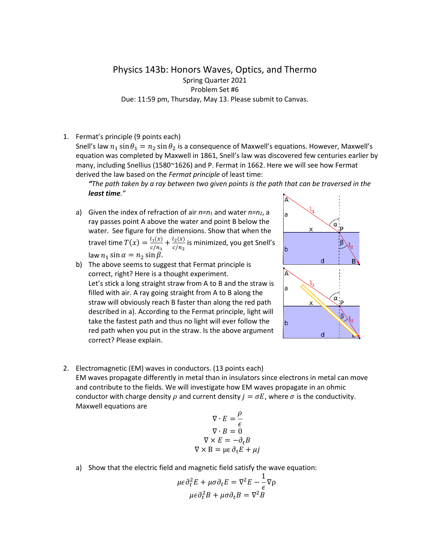Physics 143b: Honors Waves, Optics, and Thermo Spring Quarter 2021 Problem Set #6 Due: 11:59 pm, Thursday, May 13. Please submit to Canvas.

1. Fermat's principle (9 points each)

Snell's law  $n_1 \sin \theta_1 = n_2 \sin \theta_2$  is a consequence of Maxwell's equations. However, Maxwell's equation was completed by Maxwell in 1861, Snell's law was discovered few centuries earlier by many, including Snellius (1580~1626) and P. Fermat in 1662. Here we will see how Fermat derived the law based on the *Fermat principle* of least time:

*"The path taken by a ray between two given points is the path that can be traversed in the least time."*

- a) Given the index of refraction of air  $n=n_1$  and water  $n=n_2$ , a ray passes point A above the water and point B below the water. See figure for the dimensions. Show that when the travel time  $T(x) = \frac{l_1(x)}{c/n_1} + \frac{l_2(x)}{c/n_2}$  is minimized, you get Snell's law  $n_1 \sin \alpha = n_2 \sin \beta$ .
- b) The above seems to suggest that Fermat principle is correct, right? Here is a thought experiment. Let's stick a long straight straw from A to B and the straw is filled with air. A ray going straight from A to B along the straw will obviously reach B faster than along the red path described in a). According to the Fermat principle, light will take the fastest path and thus no light will ever follow the red path when you put in the straw. Is the above argument correct? Please explain.



2. Electromagnetic (EM) waves in conductors. (13 points each) EM waves propagate differently in metal than in insulators since electrons in metal can move and contribute to the fields. We will investigate how EM waves propagate in an ohmic conductor with charge density  $\rho$  and current density  $j = \sigma E$ , where  $\sigma$  is the conductivity. Maxwell equations are

$$
\nabla \cdot E = \frac{\rho}{\epsilon}
$$
  
\n
$$
\nabla \cdot B = 0
$$
  
\n
$$
\nabla \times E = -\partial_t B
$$
  
\n
$$
\nabla \times B = \mu \epsilon \partial_t E + \mu
$$

a) Show that the electric field and magnetic field satisfy the wave equation:

$$
\mu \epsilon \partial_t^2 E + \mu \sigma \partial_t E = \nabla^2 E - \frac{1}{\epsilon} \nabla \rho
$$

$$
\mu \epsilon \partial_t^2 B + \mu \sigma \partial_t B = \nabla^2 B
$$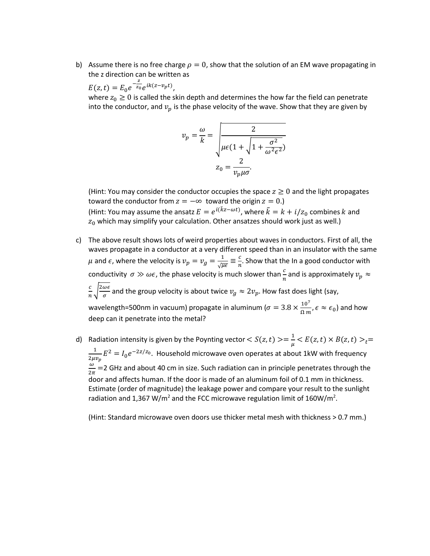b) Assume there is no free charge  $\rho = 0$ , show that the solution of an EM wave propagating in the z direction can be written as

 $(z,t) = E_0 e$  $-\frac{z}{z_0}e^{ik(z-v_pt)},$ 

where  $z_0 \geq 0$  is called the skin depth and determines the how far the field can penetrate into the conductor, and  $v_p$  is the phase velocity of the wave. Show that they are given by

$$
v_p = \frac{\omega}{k} = \sqrt{\frac{2}{\mu \epsilon (1 + \sqrt{1 + \frac{\sigma^2}{\omega^2 \epsilon^2}})}}\n\nz_0 = \frac{2}{v_p \mu \sigma}.
$$

(Hint: You may consider the conductor occupies the space  $z \geq 0$  and the light propagates toward the conductor from  $z = -\infty$  toward the origin  $z = 0$ .) (Hint: You may assume the ansatz  $E = e^{i(kz - \omega t)}$ , where  $\tilde{k} = k + i/z_0$  combines k and  $z_0$  which may simplify your calculation. Other ansatzes should work just as well.)

- c) The above result shows lots of weird properties about waves in conductors. First of all, the waves propagate in a conductor at a very different speed than in an insulator with the same  $\mu$  and  $\epsilon$ , where the velocity is  $v_p = v_g = \frac{1}{\sqrt{\mu \epsilon}} \equiv \frac{c}{n}$ . Show that the In a good conductor with conductivity  $\sigma \gg \omega \epsilon$ , the phase velocity is much slower than  $\frac{c}{n}$  and is approximately  $v_p \approx$  $\frac{c}{n}\sqrt{\frac{2\omega\epsilon}{\sigma}}$  and the group velocity is about twice  $v_g\approx 2v_p$ . How fast does light (say, wavelength=500nm in vacuum) propagate in aluminum ( $\sigma = 3.8 \times \frac{10^7}{\Omega m}$ ,  $\epsilon \approx \epsilon_0$ ) and how deep can it penetrate into the metal?
- d) Radiation intensity is given by the Poynting vector  $< S(z,t)> = \frac{1}{\mu} < E(z,t) \times B(z,t) >_t =$  $\frac{1}{1}$  $\frac{1}{2\mu v_p}E^2 = I_0 e^{-2z/z_0}$ . Household microwave oven operates at about 1kW with frequency  $\frac{\omega}{2\pi}$  =2 GHz and about 40 cm in size. Such radiation can in principle penetrates through the door and affects human. If the door is made of an aluminum foil of 0.1 mm in thickness. Estimate (order of magnitude) the leakage power and compare your result to the sunlight radiation and 1,367 W/m<sup>2</sup> and the FCC microwave regulation limit of 160W/m<sup>2</sup>.

(Hint: Standard microwave oven doors use thicker metal mesh with thickness > 0.7 mm.)